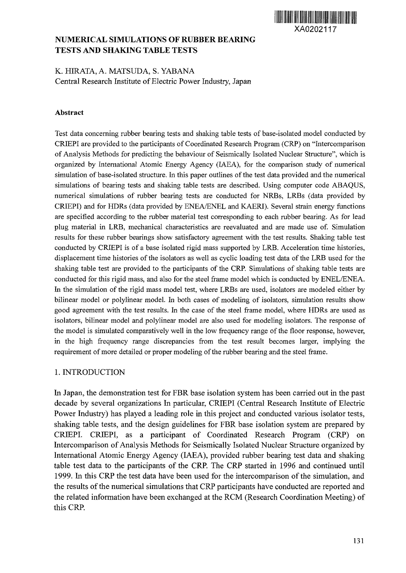

# **NUMERICAL SIMULATIONS OF RUBBER BEARING TESTS AND SHAKING TABLE TESTS**

# K. HIRATA, A. MATSUDA, S. YABANA Central Research Institute of Electric Power Industry, Japan

#### **Abstract**

Test data concerning rubber bearing tests and shaking table tests of base-isolated model conducted by CRIEPI are provided to the participants of Coordinated Research Program (CRP) on "Intercomparison of Analysis Methods for predicting the behaviour of Seismically Isolated Nuclear Structure", which is organized by International Atomic Energy Agency (IAEA), for the comparison study of numerical simulation of base-isolated structure. In this paper outlines of the test data provided and the numerical simulations of bearing tests and shaking table tests are described. Using computer code ABAQUS, numerical simulations of rubber bearing tests are conducted for NRBs, LRBs (data provided by CRIEPI) and for HDRs (data provided by ENEA/ENEL and KAERI). Several strain energy functions are specified according to the rubber material test corresponding to each rubber bearing. As for lead plug material in LRB, mechanical characteristics are reevaluated and are made use of. Simulation results for these rubber bearings show satisfactory agreement with the test results. Shaking table test conducted by CRIEPI is of a base isolated rigid mass supported by LRB. Acceleration time histories, displacement time histories of the isolators as well as cyclic loading test data of the LRB used for the shaking table test are provided to the participants of the CRP. Simulations of shaking table tests are conducted for this rigid mass, and also for the steel frame model which is conducted by ENEL/ENEA. In the simulation of the rigid mass model test, where LRBs are used, isolators are modeled either by bilinear model or polylinear model. In both cases of modeling of isolators, simulation results show good agreement with the test results. In the case of the steel frame model, where HDRs are used as isolators, bilinear model and polylinear model are also used for modeling isolators. The response of the model is simulated comparatively well in the low frequency range of the floor response, however, in the high frequency range discrepancies from the test result becomes larger, implying the requirement of more detailed or proper modeling of the rubber bearing and the steel frame.

### 1. INTRODUCTION

In Japan, the demonstration test for FBR base isolation system has been carried out in the past decade by several organizations In particular, CRIEPI (Central Research Institute of Electric Power Industry) has played a leading role in this project and conducted various isolator tests, shaking table tests, and the design guidelines for FBR base isolation system are prepared by CRIEPI. CRIEPI, as a participant of Coordinated Research Program (CRP) on Intercomparison of Analysis Methods for Seismically Isolated Nuclear Structure organized by International Atomic Energy Agency (IAEA), provided rubber bearing test data and shaking table test data to the participants of the CRP. The CRP started in 1996 and continued until 1999. In this CRP the test data have been used for the intercomparison of the simulation, and the results of the numerical simulations that CRP participants have conducted are reported and the related information have been exchanged at the RCM (Research Coordination Meeting) of this CRP.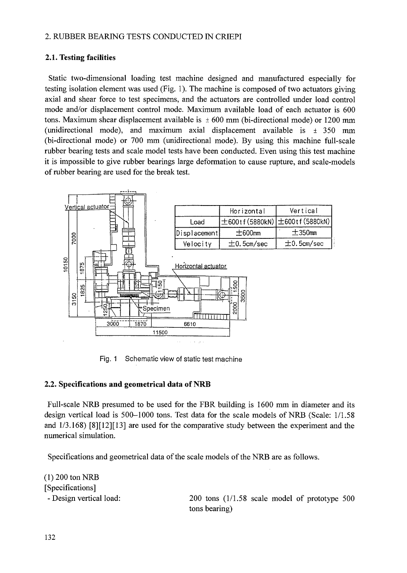### 2. RUBBER BEARING TESTS CONDUCTED IN CRIEPI

## **2.1. Testing facilities**

Static two-dimensional loading test machine designed and manufactured especially for testing isolation element was used (Fig. 1). The machine is composed of two actuators giving axial and shear force to test specimens, and the actuators are controlled under load control mode and/or displacement control mode. Maximum available load of each actuator is 600 tons. Maximum shear displacement available is  $\pm 600$  mm (bi-directional mode) or 1200 mm (unidirectional mode), and maximum axial displacement available is  $\pm$  350 mm (bi-directional mode) or 700 mm (unidirectional mode). By using this machine full-scale rubber bearing tests and scale model tests have been conducted. Even using this test machine it is impossible to give rubber bearings large deformation to cause rupture, and scale-models of rubber bearing are used for the break test.



Fig. 1 Schematic view of static test machine

## **2.2. Specifications and geometrical data of NRB**

Full-scale NRB presumed to be used for the FBR building is 1600 mm in diameter and its design vertical load is 500-1000 tons. Test data for the scale models of NRB (Scale: 1/1.58 and 1/3.168) [8][12][13] are used for the comparative study between the experiment and the numerical simulation.

Specifications and geometrical data of the scale models of the NRB are as follows.

(1)200 ton NRB [Specifications]

- Design vertical load: 200 tons (1/1.58 scale model of prototype 500 tons bearing)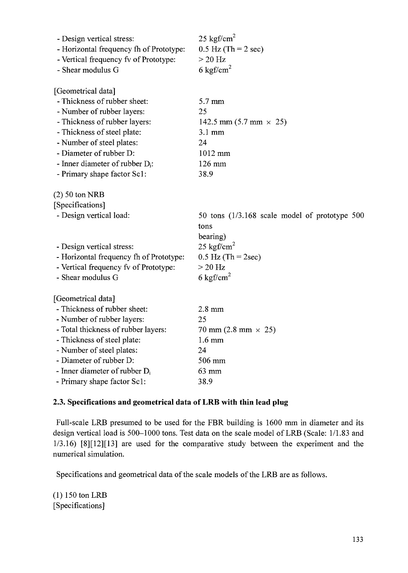| $0.5$ Hz (Th = 2 sec)<br>- Horizontal frequency fh of Prototype:<br>- Vertical frequency fv of Prototype:<br>$>20$ Hz<br>6 kgf/cm <sup>2</sup><br>- Shear modulus G<br>[Geometrical data]<br>- Thickness of rubber sheet:<br>5.7 mm<br>- Number of rubber layers:<br>25 |  |
|-------------------------------------------------------------------------------------------------------------------------------------------------------------------------------------------------------------------------------------------------------------------------|--|
|                                                                                                                                                                                                                                                                         |  |
|                                                                                                                                                                                                                                                                         |  |
|                                                                                                                                                                                                                                                                         |  |
|                                                                                                                                                                                                                                                                         |  |
|                                                                                                                                                                                                                                                                         |  |
|                                                                                                                                                                                                                                                                         |  |
| - Thickness of rubber layers:<br>142.5 mm $(5.7 \text{ mm} \times 25)$                                                                                                                                                                                                  |  |
| - Thickness of steel plate:<br>$3.1 \text{ mm}$                                                                                                                                                                                                                         |  |
| - Number of steel plates:<br>24                                                                                                                                                                                                                                         |  |
| - Diameter of rubber D:<br>1012 mm                                                                                                                                                                                                                                      |  |
| - Inner diameter of rubber $D_i$ :<br>126 mm                                                                                                                                                                                                                            |  |
| - Primary shape factor Sc1:<br>38.9                                                                                                                                                                                                                                     |  |
| $(2)$ 50 ton NRB                                                                                                                                                                                                                                                        |  |
| [Specifications]                                                                                                                                                                                                                                                        |  |
| - Design vertical load:<br>50 tons $(1/3.168$ scale model of prototype 500                                                                                                                                                                                              |  |
| tons                                                                                                                                                                                                                                                                    |  |
| bearing)                                                                                                                                                                                                                                                                |  |
|                                                                                                                                                                                                                                                                         |  |
| 25 kgf/cm <sup>2</sup><br>- Design vertical stress:                                                                                                                                                                                                                     |  |
| - Horizontal frequency fh of Prototype:<br>$0.5$ Hz (Th = 2sec)                                                                                                                                                                                                         |  |
| - Vertical frequency fv of Prototype:<br>$>20$ Hz                                                                                                                                                                                                                       |  |
| 6 kgf/cm <sup>2</sup><br>- Shear modulus G                                                                                                                                                                                                                              |  |
| [Geometrical data]                                                                                                                                                                                                                                                      |  |
| - Thickness of rubber sheet:<br>$2.8$ mm                                                                                                                                                                                                                                |  |
| - Number of rubber layers:<br>25                                                                                                                                                                                                                                        |  |
| - Total thickness of rubber layers:<br>70 mm $(2.8 \text{ mm} \times 25)$                                                                                                                                                                                               |  |
| - Thickness of steel plate:<br>$1.6 \text{ mm}$                                                                                                                                                                                                                         |  |
| - Number of steel plates:<br>24                                                                                                                                                                                                                                         |  |
| - Diameter of rubber D:<br>506 mm                                                                                                                                                                                                                                       |  |
| - Inner diameter of rubber $D_i$<br>63 mm                                                                                                                                                                                                                               |  |

### **2.3. Specifications and geometrical data of LRB with thin lead plug**

Full-scale LRB presumed to be used for the FBR building is 1600 mm in diameter and its design vertical load is 500-1000 tons. Test data on the scale model of LRB (Scale: 1/1.83 and 1/3.16) [8][12][13] are used for the comparative study between the experiment and the numerical simulation.

Specifications and geometrical data of the scale models of the LRB are as follows.

(1)150 ton LRB [Specifications]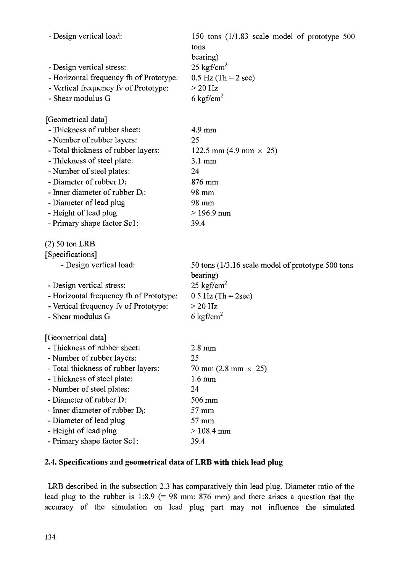| - Design vertical load:                              | 150 tons (1/1.83 scale model of prototype 500     |
|------------------------------------------------------|---------------------------------------------------|
|                                                      | tons                                              |
|                                                      | bearing)                                          |
| - Design vertical stress:                            | $25 \text{ kgf/cm}^2$                             |
| - Horizontal frequency fh of Prototype:              | $0.5$ Hz (Th = 2 sec)                             |
| - Vertical frequency fv of Prototype:                | $>$ 20 Hz                                         |
| - Shear modulus G                                    | 6 kgf/cm <sup>2</sup>                             |
| [Geometrical data]                                   |                                                   |
| - Thickness of rubber sheet:                         | 4.9 mm                                            |
| - Number of rubber layers:                           | 25                                                |
| - Total thickness of rubber layers:                  | 122.5 mm (4.9 mm $\times$ 25)                     |
| - Thickness of steel plate:                          | $3.1 \text{ mm}$                                  |
| - Number of steel plates:                            | 24                                                |
| - Diameter of rubber D:                              | 876 mm                                            |
| - Inner diameter of rubber $D_i$ :                   | 98 mm                                             |
| - Diameter of lead plug                              | 98 mm                                             |
| - Height of lead plug                                | $>196.9$ mm                                       |
| - Primary shape factor Sc1:                          | 39.4                                              |
| $(2)$ 50 ton LRB                                     |                                                   |
| [Specifications]                                     |                                                   |
| - Design vertical load:                              | 50 tons (1/3.16 scale model of prototype 500 tons |
|                                                      | bearing)                                          |
| - Design vertical stress:                            |                                                   |
|                                                      | 25 kgf/cm <sup>2</sup>                            |
| - Horizontal frequency fh of Prototype:              | $0.5$ Hz (Th = 2sec)                              |
| - Vertical frequency fv of Prototype:                | $>20$ Hz                                          |
| - Shear modulus G                                    | 6 kgf/cm <sup>2</sup>                             |
| [Geometrical data]                                   |                                                   |
| - Thickness of rubber sheet:                         | $2.8 \text{ mm}$                                  |
| - Number of rubber layers:                           | 25                                                |
| - Total thickness of rubber layers:                  | 70 mm $(2.8 \text{ mm} \times 25)$                |
| - Thickness of steel plate:                          | $1.6 \text{ mm}$                                  |
| - Number of steel plates:                            | 24                                                |
| - Diameter of rubber D:                              | 506 mm                                            |
| - Inner diameter of rubber $D_i$ :                   | 57 mm                                             |
| - Diameter of lead plug                              | 57 mm                                             |
| - Height of lead plug<br>- Primary shape factor Sc1: | $> 108.4$ mm<br>39.4                              |

# **2.4. Specifications and geometrical data of LRB with thick lead plug**

LRB described in the subsection 2.3 has comparatively thin lead plug. Diameter ratio of the lead plug to the rubber is 1:8.9 (= 98 mm: 876 mm) and there arises a question that the accuracy of the simulation on lead plug part may not influence the simulated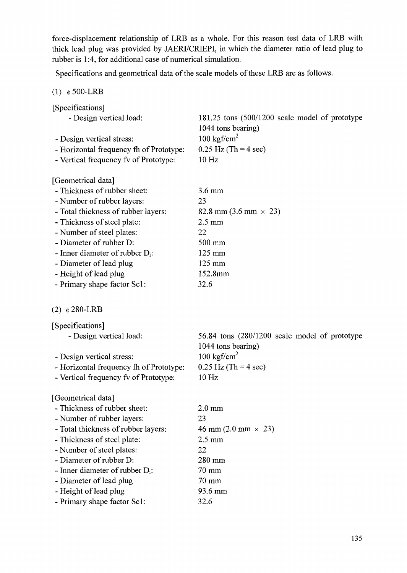force-displacement relationship of LRB as a whole. For this reason test data of LRB with thick lead plug was provided by JAERI/CRIEPI, in which the diameter ratio of lead plug to rubber is 1:4, for additional case of numerical simulation.

Specifications and geometrical data of the scale models of these LRB are as follows.

(1)  $\phi$  500-LRB

| [Specifications]                        |                                                                      |
|-----------------------------------------|----------------------------------------------------------------------|
| - Design vertical load:                 | 181.25 tons (500/1200 scale model of prototype<br>1044 tons bearing) |
| - Design vertical stress:               | 100 kgf/cm <sup>2</sup>                                              |
| - Horizontal frequency fh of Prototype: | $0.25$ Hz (Th = 4 sec)                                               |
| - Vertical frequency fv of Prototype:   | 10 Hz                                                                |
| [Geometrical data]                      |                                                                      |
| - Thickness of rubber sheet:            | $3.6 \text{ mm}$                                                     |
| - Number of rubber layers:              | 23                                                                   |
| - Total thickness of rubber layers:     | 82.8 mm $(3.6 \text{ mm} \times 23)$                                 |
| - Thickness of steel plate:             | $2.5 \text{ mm}$                                                     |
| - Number of steel plates:               | 22                                                                   |
| - Diameter of rubber D:                 | 500 mm                                                               |
| - Inner diameter of rubber $D_i$ :      | $125 \text{ mm}$                                                     |
| - Diameter of lead plug                 | 125 mm                                                               |
| - Height of lead plug                   | 152.8mm                                                              |
| - Primary shape factor Sc1:             | 32.6                                                                 |
| (2) $\phi$ 280-LRB                      |                                                                      |
| [Specifications]                        |                                                                      |
| - Design vertical load:                 | 56.84 tons (280/1200 scale model of prototype<br>1044 tons bearing)  |
| - Design vertical stress:               | 100 kgf/cm <sup>2</sup>                                              |
| - Horizontal frequency fh of Prototype: | $0.25$ Hz (Th = 4 sec)                                               |
| - Vertical frequency fv of Prototype:   | 10 Hz                                                                |
| [Geometrical data]                      |                                                                      |
| - Thickness of rubber sheet:            | $2.0 \text{ mm}$                                                     |
| - Number of rubber layers:              | 23                                                                   |
| - Total thickness of rubber layers:     | 46 mm $(2.0 \text{ mm} \times 23)$                                   |
| - Thickness of steel plate:             | $2.5 \text{ mm}$                                                     |
| - Number of steel plates:               | 22                                                                   |
| - Diameter of rubber D:                 | 280 mm                                                               |
| - Inner diameter of rubber $D_i$ :      | 70 mm                                                                |
| - Diameter of lead plug                 | 70 mm                                                                |
| - Height of lead plug                   | 93.6 mm                                                              |
| - Primary shape factor Sc1:             | 32.6                                                                 |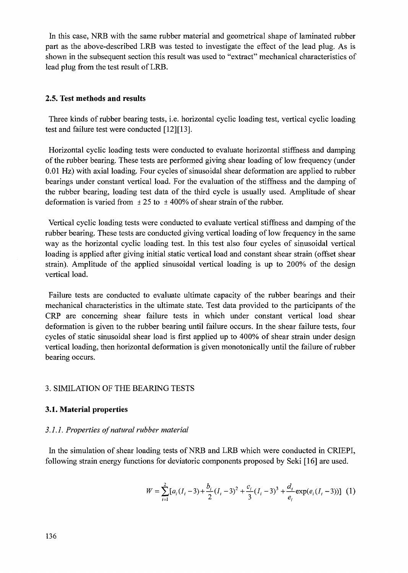In this case, NRB with the same rubber material and geometrical shape of laminated rubber part as the above-described LRB was tested to investigate the effect of the lead plug. As is shown in the subsequent section this result was used to "extract" mechanical characteristics of lead plug from the test result of LRB.

### **2.5. Test methods and results**

Three kinds of rubber bearing tests, i.e. horizontal cyclic loading test, vertical cyclic loading test and failure test were conducted [12][13].

Horizontal cyclic loading tests were conducted to evaluate horizontal stiffness and damping of the rubber bearing. These tests are performed giving shear loading of low frequency (under 0.01 Hz) with axial loading. Four cycles of sinusoidal shear deformation are applied to rubber bearings under constant vertical load. For the evaluation of the stiffness and the damping of the rubber bearing, loading test data of the third cycle is usually used. Amplitude of shear deformation is varied from  $\pm 25$  to  $\pm 400\%$  of shear strain of the rubber.

Vertical cyclic loading tests were conducted to evaluate vertical stiffness and damping of the rubber bearing. These tests are conducted giving vertical loading of low frequency in the same way as the horizontal cyclic loading test. In this test also four cycles of sinusoidal vertical loading is applied after giving initial static vertical load and constant shear strain (offset shear strain). Amplitude of the applied sinusoidal vertical loading is up to 200% of the design vertical load.

Failure tests are conducted to evaluate ultimate capacity of the rubber bearings and their mechanical characteristics in the ultimate state. Test data provided to the participants of the CRP are concerning shear failure tests in which under constant vertical load shear deformation is given to the rubber bearing until failure occurs. In the shear failure tests, four cycles of static sinusoidal shear load is first applied up to 400% of shear strain under design vertical loading, then horizontal deformation is given monotonically until the failure of rubber bearing occurs.

#### 3. SIMILATION OF THE BEARING TESTS

#### **3.1. Material properties**

#### *3.1.1. Properties of natural rubber material*

In the simulation of shear loading tests of NRB and LRB which were conducted in CRIEPI, following strain energy functions for deviatoric components proposed by Seki [16] are used.

$$
W = \sum_{i=1}^{2} [a_i (I_i - 3) + \frac{b_i}{2} (I_i - 3)^2 + \frac{c_i}{3} (I_i - 3)^3 + \frac{d_i}{e_i} \exp(e_i (I_i - 3))]
$$
 (1)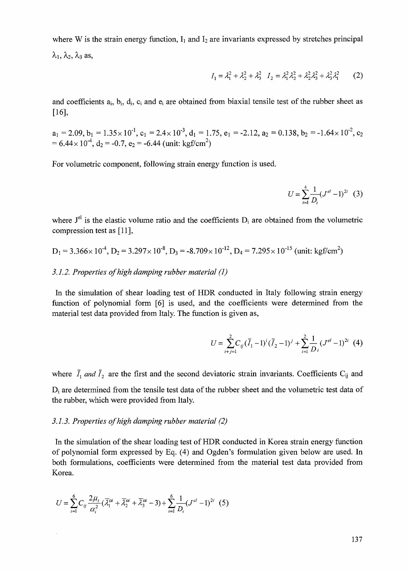where W is the strain energy function,  $I_1$  and  $I_2$  are invariants expressed by stretches principal  $\lambda_1, \lambda_2, \lambda_3$  as,

$$
I_1 = \lambda_1^2 + \lambda_2^2 + \lambda_3^2 \quad I_2 = \lambda_1^2 \lambda_2^2 + \lambda_2^2 \lambda_3^2 + \lambda_3^2 \lambda_1^2 \tag{2}
$$

and coefficients a<sub>i</sub>, b<sub>i</sub>, d<sub>i</sub>, c<sub>i</sub> and e<sub>i</sub> are obtained from biaxial tensile test of the rubber sheet as [16],

 $a_1 = 2.09, b_1 = 1.35 \times 10^{-1}, c_1 = 2.4 \times 10^{-3}, d_1 = 1.75, e_1 = -2.12, a_2 = 0.138, b_2 = -1.64 \times 10^{-2}, c_2$  $= 6.44 \times 10^{-4}$ ,  $d_2 = -0.7$ ,  $e_2 = -6.44$  (unit: kgf/cm<sup>2</sup>)

For volumetric component, following strain energy function is used.

$$
U = \sum_{i=1}^{4} \frac{1}{D_i} (J^{el} - 1)^{2i} \quad (3)
$$

where  $J<sup>el</sup>$  is the elastic volume ratio and the coefficients  $D<sub>i</sub>$  are obtained from the volumetric compression test as [11],

$$
D_1 = 3.366 \times 10^{-4}
$$
,  $D_2 = 3.297 \times 10^{-8}$ ,  $D_3 = -8.709 \times 10^{-12}$ ,  $D_4 = 7.295 \times 10^{-15}$  (unit: kgf/cm<sup>2</sup>)

#### *3.1.2. Properties of high damping rubber material (1)*

In the simulation of shear loading test of HDR conducted in Italy following strain energy function of polynomial form [6] is used, and the coefficients were determined from the material test data provided from Italy. The function is given as,

$$
U = \sum_{i+j=1}^{2} C_{ij} (\bar{I}_1 - 1)^i (\bar{I}_2 - 1)^j + \sum_{i=1}^{2} \frac{1}{D_i} (J^{el} - 1)^{2i} (4)
$$

where  $\bar{I}_1$  and  $\bar{I}_2$  are the first and the second deviatoric strain invariants. Coefficients C<sub>ij</sub> and  $D_i$  are determined from the tensile test data of the rubber sheet and the volumetric test data of

the rubber, which were provided from Italy.

### *3.1.3. Properties of high damping rubber material (2)*

In the simulation of the shear loading test of HDR conducted in Korea strain energy function of polynomial form expressed by Eq. (4) and Ogden's formulation given below are used. In both formulations, coefficients were determined from the material test data provided from Korea.

$$
U = \sum_{i=1}^{6} C_{ij} \frac{2\mu_i}{\alpha_i^2} (\overline{\lambda}_1^{0i} + \overline{\lambda}_2^{0i} + \overline{\lambda}_3^{0i} - 3) + \sum_{i=1}^{6} \frac{1}{D_i} (J^{el} - 1)^{2i} (5)
$$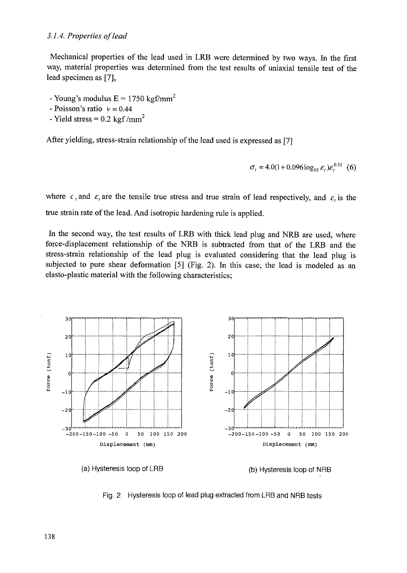Mechanical properties of the lead used in LRB were determined by two ways. In the first way, material properties was determined from the test results of uniaxial tensile test of the lead specimen as [7],

- Young's modulus  $E = 1750 \text{ kgf/mm}^2$
- Poisson's ratio *v =* 0.44
- Yield stress  $= 0.2$  kgf/mm<sup>2</sup>

After yielding, stress-strain relationship of the lead used is expressed as [7]

$$
\sigma_t = 4.0(1 + 0.096 \log_{10} \varepsilon_t) \varepsilon_t^{0.31} \tag{6}
$$

where  $c_i$  and  $\varepsilon_i$  are the tensile true stress and true strain of lead respectively, and  $\varepsilon_i$  is the true strain rate of the lead. And isotropic hardening rule is applied.

In the second way, the test results of LRB with thick lead plug and NRB are used, where force-displacement relationship of the NRB is subtracted from that of the LRB and the stress-strain relationship of the lead plug is evaluated considering that the lead plug is subjected to pure shear deformation [5] (Fig. 2). In this case, the lead is modeled as an elasto-plastic material with the following characteristics;



Fig. 2 Hysteresis loop of lead plug extracted from LRB and NRB tests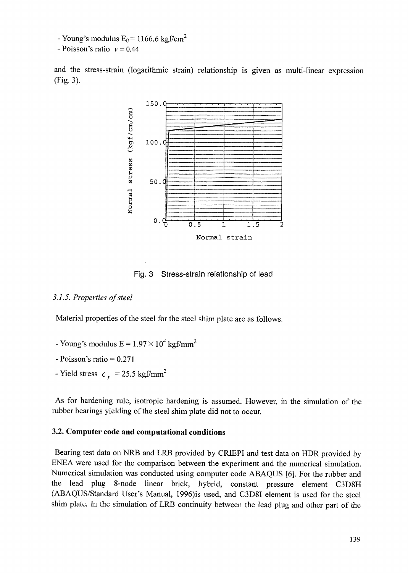- Young's modulus  $E_0$  = 1166.6 kgf/cm<sup>2</sup>

 $-Poisson's ratio$   $v = 0.44$ 

and the stress-strain (logarithmic strain) relationship is given as multi-linear expression (Fig. 3).



Fig. 3 Stress-strain relationship of lead

### *3.1.5. Properties of steel*

Material properties of the steel for the steel shim plate are as follows.

- Young's modulus  $E = 1.97 \times 10^4$  kgf/mm<sup>2</sup>
- Poisson's ratio  $= 0.271$
- Yield stress  $c_v$  = 25.5 kgf/mm<sup>2</sup>

As for hardening rule, isotropic hardening is assumed. However, in the simulation of the rubber bearings yielding of the steel shim plate did not to occur.

### **3.2. Computer code and computational conditions**

Bearing test data on NRB and LRB provided by CRIEPI and test data on HDR provided by ENEA were used for the comparison between the experiment and the numerical simulation. Numerical simulation was conducted using computer code ABAQUS [6]. For the rubber and the lead plug 8-node linear brick, hybrid, constant pressure element C3D8H (ABAQUS/Standard User's Manual, 1996)is used, and C3D8I element is used for the steel shim plate. In the simulation of LRB continuity between the lead plug and other part of the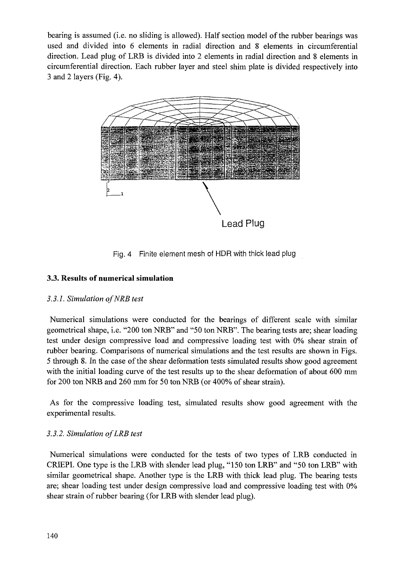bearing is assumed (i.e. no sliding is allowed). Half section model of the rubber bearings was used and divided into 6 elements in radial direction and 8 elements in circumferential direction. Lead plug of LRB is divided into 2 elements in radial direction and 8 elements in circumferential direction. Each rubber layer and steel shim plate is divided respectively into 3 and 2 layers (Fig. 4).



Fig. 4 Finite element mesh of HDR with thick lead plug

## **3.3. Results of numerical simulation**

### *3.3.1. Simulation ofNRB test*

Numerical simulations were conducted for the bearings of different scale with similar geometrical shape, i.e. "200 ton NRB" and "50 ton NRB". The bearing tests are; shear loading test under design compressive load and compressive loading test with 0% shear strain of rubber bearing. Comparisons of numerical simulations and the test results are shown in Figs. 5 through 8. In the case of the shear deformation tests simulated results show good agreement with the initial loading curve of the test results up to the shear deformation of about 600 mm for 200 ton NRB and 260 mm for 50 ton NRB (or 400% of shear strain).

As for the compressive loading test, simulated results show good agreement with the experimental results.

### *3.3.2. Simulation of LRB test*

Numerical simulations were conducted for the tests of two types of LRB conducted in CRIEPI. One type is the LRB with slender lead plug, "150 ton LRB" and "50 ton LRB" with similar geometrical shape. Another type is the LRB with thick lead plug. The bearing tests are; shear loading test under design compressive load and compressive loading test with 0% shear strain of rubber bearing (for LRB with slender lead plug).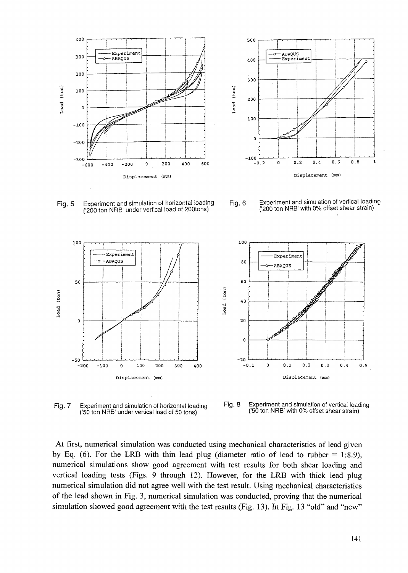



('200 ton NRB' under vertical load of 200 tons)



Fig. 5 Experiment and simulation of horizontal loading Fig. 6 Experiment and simulation of vertical loading<br>(200 ton NBB' under vertical load of 200tons) (200 ton NBB' with 0% offset shear strain)



Fig. 7 Experiment and simulation of horizontal loading ('50 ton NRB' under vertical load of 50 tons)

Fig. 8 Experiment and simulation of vertical loading ' with 0% offset shear strair

At first, numerical simulation was conducted using mechanical characteristics of lead given by Eq. (6). For the LRB with thin lead plug (diameter ratio of lead to rubber  $= 1:8.9$ ), numerical simulations show good agreement with test results for both shear loading and vertical loading tests (Figs. 9 through 12). However, for the LRB with thick lead plug numerical simulation did not agree well with the test result. Using mechanical characteristics of the lead shown in Fig. 3, numerical simulation was conducted, proving that the numerical simulation showed good agreement with the test results (Fig. 13). In Fig. 13 "old" and "new"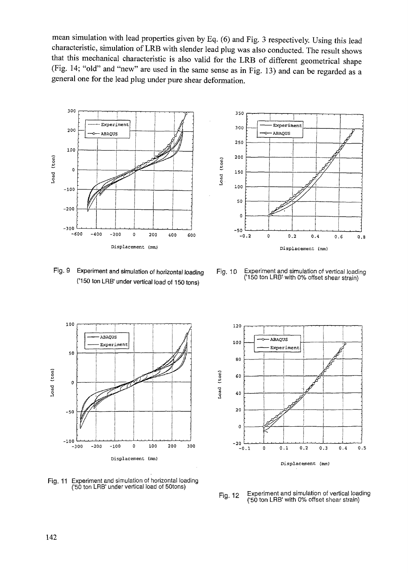mean simulation with lead properties given by Eq. (6) and Fig. 3 respectively. Using this lead characteristic, simulation of LRB with slender lead plug was also conducted. The result shows that this mechanical characteristic is also valid for the LRB of different geometrical shape (Fig. 14; "old" and "new" are used in the same sense as in Fig. 13) and can be regarded as a general one for the lead plug under pure shear deformation.



('150 ton LRB' under vertical load of 150 tons)



Fig. 9 Experiment and simulation of horizontal loading Fig. 10 Experiment and simulation of vertical loading 150 ton LRB' with 0% offset shear strain)



Fig. 11 Experiment and simulation of horizontal loading ('50 ton LRB' under vertical load of 50tons)



Experiment and simulation of vertical loading Fig. 12 ' ('50 ton LRB' with 0% offset shear strain)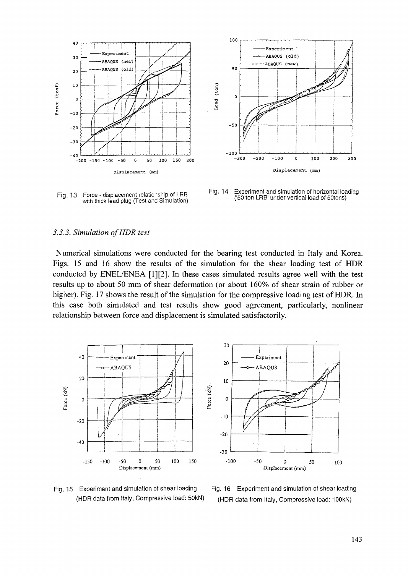

Force - displacement relationship of LRB **Fl9 '1 3** with thick lead plug (Test and Simulation)



Fig-14 Experiment and simulation of horizontal loading ('50 ton LRB' under vertical load of 50tons)

#### *3.3.3. Simulation of HDR test*

Numerical simulations were conducted for the bearing test conducted in Italy and Korea. Figs. 15 and 16 show the results of the simulation for the shear loading test of HDR conducted by ENEL/ENEA [1][2]. In these cases simulated results agree well with the test results up to about 50 mm of shear deformation (or about 160% of shear strain of rubber or higher). Fig. 17 shows the result of the simulation for the compressive loading test of HDR. In this case both simulated and test results show good agreement, particularly, nonlinear relationship between force and displacement is simulated satisfactorily.





Fig. 15 Experiment and simulation of shear loading Fig. 16 Experiment and simulation of shear loading (HDR data from Italy, Compressive load: 50kN) (HDR data from Italy, Compressive load: 10OkN)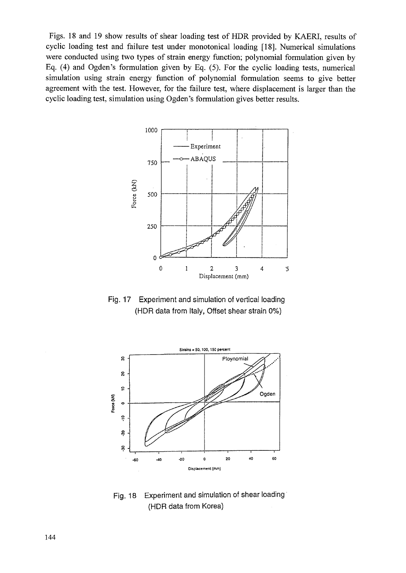Figs. 18 and 19 show results of shear loading test of HDR provided by KAERI, results of cyclic loading test and failure test under monotonical loading [18]. Numerical simulations were conducted using two types of strain energy function; polynomial formulation given by Eq. (4) and Ogden's formulation given by Eq. (5). For the cyclic loading tests, numerical simulation using strain energy function of polynomial formulation seems to give better agreement with the test. However, for the failure test, where displacement is larger than the cyclic loading test, simulation using Ogden's formulation gives better results.



Fig. 17 Experiment and simulation of vertical loading (HDR data from Italy, Offset shear strain 0%)



Fig. 18 Experiment and simulation of shear loading {HDR data from Korea)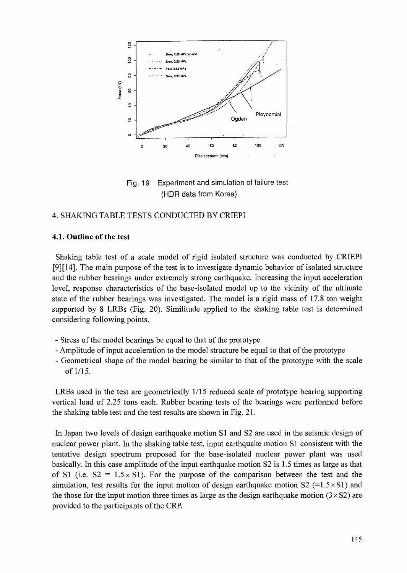

Fig. 19 Experiment and simulation of failure test (HDR data from Korea)

### 4. SHAKING TABLE TESTS CONDUCTED BY CRIEPI

#### **4.1. Outline of the test**

Shaking table test of a scale model of rigid isolated structure was conducted by CRIEPI [9][14]. The main purpose of the test is to investigate dynamic behavior of isolated structure and the rubber bearings under extremely strong earthquake. Increasing the input acceleration level, response characteristics of the base-isolated model up to the vicinity of the ultimate state of the rubber bearings was investigated. The model is a rigid mass of 17.8 ton weight supported by 8 LRBs (Fig. 20). Similitude applied to the shaking table test is determined considering following points.

- Stress of the model bearings be equal to that of the prototype
- Amplitude of input acceleration to the model structure be equal to that of the prototype
- Geometrical shape of the model bearing be similar to that of the prototype with the scale of 1/15.

LRBs used in the test are geometrically 1/15 reduced scale of prototype bearing supporting vertical load of 2.25 tons each. Rubber bearing tests of the bearings were performed before the shaking table test and the test results are shown in Fig. 21.

In Japan two levels of design earthquake motion S1 and S2 are used in the seismic design of nuclear power plant. In the shaking table test, input earthquake motion SI consistent with the tentative design spectrum proposed for the base-isolated nuclear power plant was used basically. In this case amplitude of the input earthquake motion S2 is 1.5 times as large as that of S1 (i.e.  $S2 = 1.5 \times S1$ ). For the purpose of the comparison between the test and the simulation, test results for the input motion of design earthquake motion  $S2$  (=1.5×S1) and the those for the input motion three times as large as the design earthquake motion  $(3 \times S2)$  are provided to the participants of the CRP.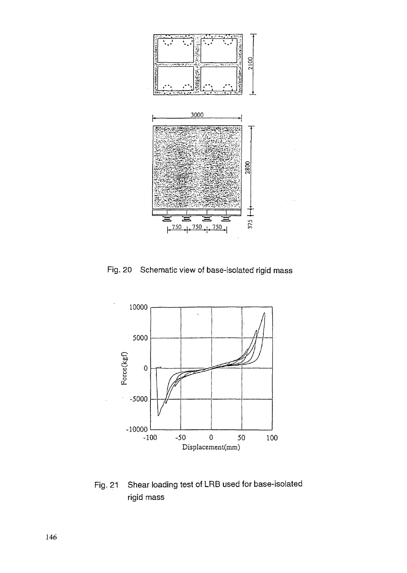

Fig. 20 Schematic view of base-isolated rigid mass



Fig. 21 Shear loading test of LRB used for base-isolated rigid mass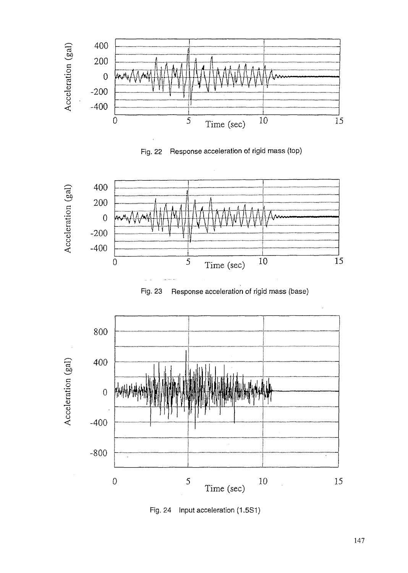

Fig. 22 Response acceleration of rigid mass (top)







Fig. 24 Input acceleration (1.5S1)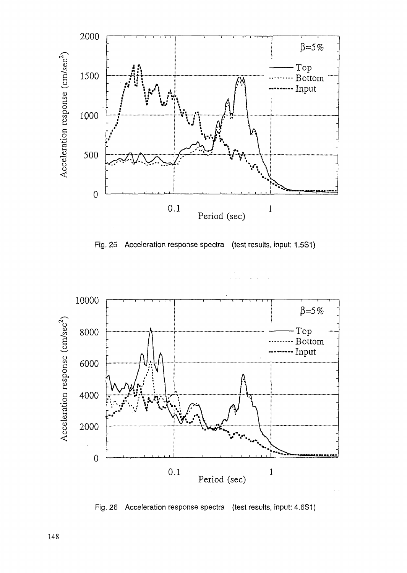

Fig. 25 Acceleration response spectra (test results, input: 1.5S1)



Fig. 26 Acceleration response spectra (test results, input: 4.6S1)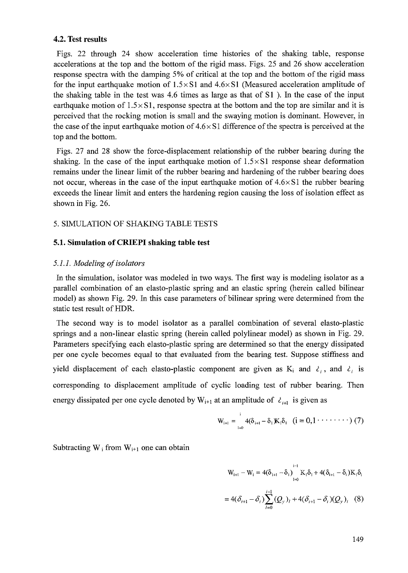#### **4.2. Test results**

Figs. 22 through 24 show acceleration time histories of the shaking table, response accelerations at the top and the bottom of the rigid mass. Figs. 25 and 26 show acceleration response spectra with the damping 5% of critical at the top and the bottom of the rigid mass for the input earthquake motion of  $1.5 \times S1$  and  $4.6 \times S1$  (Measured acceleration amplitude of the shaking table in the test was 4.6 times as large as that of SI ). In the case of the input earthquake motion of  $1.5 \times S1$ , response spectra at the bottom and the top are similar and it is perceived that the rocking motion is small and the swaying motion is dominant. However, in the case of the input earthquake motion of  $4.6 \times S1$  difference of the spectra is perceived at the top and the bottom.

Figs. 27 and 28 show the force-displacement relationship of the rubber bearing during the shaking. In the case of the input earthquake motion of  $1.5 \times S1$  response shear deformation remains under the linear limit of the rubber bearing and hardening of the rubber bearing does not occur, whereas in the case of the input earthquake motion of  $4.6 \times S1$  the rubber bearing exceeds the linear limit and enters the hardening region causing the loss of isolation effect as shown in Fig. 26.

### 5. SIMULATION OF SHAKING TABLE TESTS

#### **5.1. Simulation of CRIEPI shaking table test**

#### *5.1.1. Modeling of isolators*

In the simulation, isolator was modeled in two ways. The first way is modeling isolator as a parallel combination of an elasto-plastic spring and an elastic spring (herein called bilinear model) as shown Fig. 29. In this case parameters of bilinear spring were determined from the static test result of HDR.

The second way is to model isolator as a parallel combination of several elasto-plastic springs and a non-linear elastic spring (herein called polylinear model) as shown in Fig. 29. Parameters specifying each elasto-plastic spring are determined so that the energy dissipated per one cycle becomes equal to that evaluated from the bearing test. Suppose stiffness and yield displacement of each elasto-plastic component are given as  $K_i$  and  $\delta_i$ , and  $\delta_i$  is corresponding to displacement amplitude of cyclic loading test of rubber bearing. Then energy dissipated per one cycle denoted by  $W_{i+1}$  at an amplitude of  $\ell_{i+1}$  is given as

$$
W_{i+1} = \int_{1=0}^{1} 4(\delta_{i+1} - \delta_1) K_1 \delta_1 \quad (i = 0, 1 \cdot \cdot \cdot \cdot \cdot \cdot \cdot \cdot \cdot \cdot (7)
$$

Subtracting  $W_i$  from  $W_{i+1}$  one can obtain

$$
W_{i+1} - W_i = 4(\delta_{i+1} - \delta_i) \Big|_{i=0}^{i-1} K_i \delta_i + 4(\delta_{i+1} - \delta_i) K_i \delta_i
$$
  
= 4( $\delta_{i+1} - \delta_i$ )  $\sum_{l=0}^{i-1} (Q_y)_l + 4(\delta_{i+1} - \delta_i) (Q_y)_i$  (8)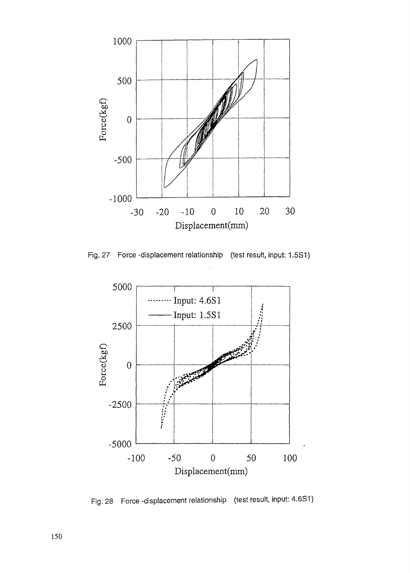

Fig. 27 Force -displacement relationship (test result, input: 1.5S1)



Fig. 28 Force -displacement relationship (test result, input: 4.6S1)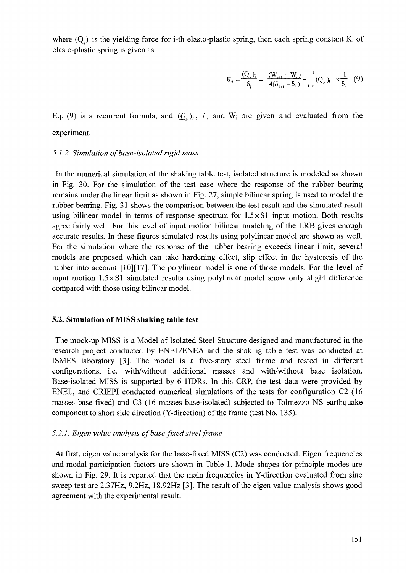where  $(Q_{\nu})$  is the yielding force for i-th elasto-plastic spring, then each spring constant  $K_i$  of elasto-plastic spring is given as

$$
K_{i} = \frac{(Q_{y})_{i}}{\delta_{i}} = \frac{(W_{i+1} - W_{i})}{4(\delta_{i+1} - \delta_{i})} - \frac{^{i-1}}{^{i-0}}(Q_{y})_{i} \times \frac{1}{\delta_{i}} \quad (9)
$$

Eq. (9) is a recurrent formula, and  $(Q_y)_i$ ,  $\lambda_i$  and  $W_i$  are given and evaluated from the experiment.

#### *5.1.2. Simulation of base-isolated rigid mass*

In the numerical simulation of the shaking table test, isolated structure is modeled as shown in Fig. 30. For the simulation of the test case where the response of the rubber bearing remains under the linear limit as shown in Fig. 27, simple bilinear spring is used to model the rubber bearing. Fig. 31 shows the comparison between the test result and the simulated result using bilinear model in terms of response spectrum for  $1.5 \times S1$  input motion. Both results agree fairly well. For this level of input motion bilinear modeling of the LRB gives enough accurate results. In these figures simulated results using polylinear model are shown as well. For the simulation where the response of the rubber bearing exceeds linear limit, several models are proposed which can take hardening effect, slip effect in the hysteresis of the rubber into account [10] [17]. The polylinear model is one of those models. For the level of input motion  $1.5 \times S1$  simulated results using polylinear model show only slight difference compared with those using bilinear model.

#### **5.2. Simulation of MISS shaking table test**

The mock-up MISS is a Model of Isolated Steel Structure designed and manufactured in the research project conducted by ENEL/ENEA and the shaking table test was conducted at ISMES laboratory [3]. The model is a five-story steel frame and tested in different configurations, i.e. with/without additional masses and with/without base isolation. Base-isolated MISS is supported by 6 HDRs. In this CRP, the test data were provided by ENEL, and CRIEPI conducted numerical simulations of the tests for configuration C2 (16 masses base-fixed) and C3 (16 masses base-isolated) subjected to Tolmezzo NS earthquake component to short side direction (Y-direction) of the frame (test No. 135).

#### *5.2.1. Eigen value analysis of base-fixed steel frame*

At first, eigen value analysis for the base-fixed MISS (C2) was conducted. Eigen frequencies and modal participation factors are shown in Table 1. Mode shapes for principle modes are shown in Fig. 29. It is reported that the main frequencies in Y-direction evaluated from sine sweep test are 2.37Hz, 9.2Hz, 18.92Hz [3]. The result of the eigen value analysis shows good agreement with the experimental result.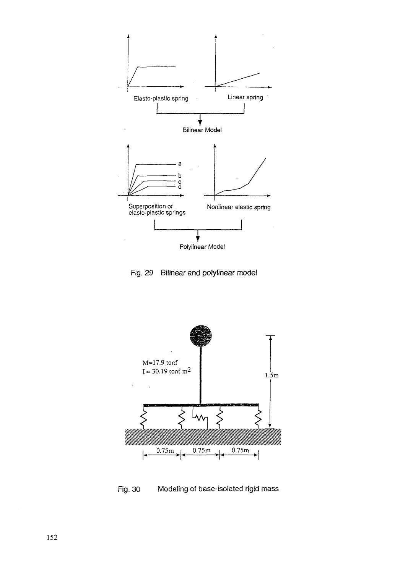





Fig. 30 Modeling of base-isolated rigid mass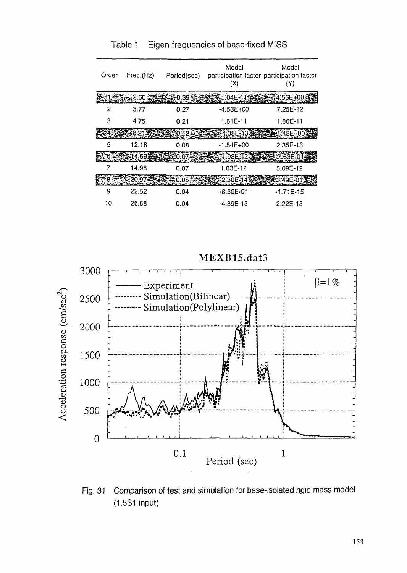| Order | Freq.(Hz)      | Period(sec) | Modal<br>participation factor participation factor<br>(X) | Modal<br>Y) |
|-------|----------------|-------------|-----------------------------------------------------------|-------------|
|       | 2.60 조         | 0.39.       | ≉≲1.04E-11੩                                               | 4.56E+00-   |
| 2     | 3.77           | 0.27        | $-4.53E+00$                                               | 7.25E-12    |
| 3     | 4.75           | 0.21        | $1.61E-11$                                                | 1.86E-11    |
|       |                | กำิว        | 4.08E-133                                                 | L*48F¥00    |
| 5     | 12.18          | 0.08        | $-1.54E + 00$                                             | $2.35E-13$  |
|       | 在建二14.69里      | :0.073      | 3-1.98E-123                                               | 463F-01     |
|       | 14.98          | 0.07        | 1.03E-12                                                  | 5.09E-12    |
|       | ිසිරිකි 20.97. | 252 0.05    | ≆2.30E-14\$                                               | *3.49E-01   |
| 9     | 22.52          | 0.04        | -8.30E-01                                                 | $-1.71E-15$ |
| 10    | 26.88          | 0.04        | -4.89E-13                                                 | 2.22E-13    |

Table 1 Eigen frequencies of base-fixed MISS

MEXB15.dat3



Fig. 31 Comparison of test and simulation for base-isolated rigid mass model (1.5S1 input)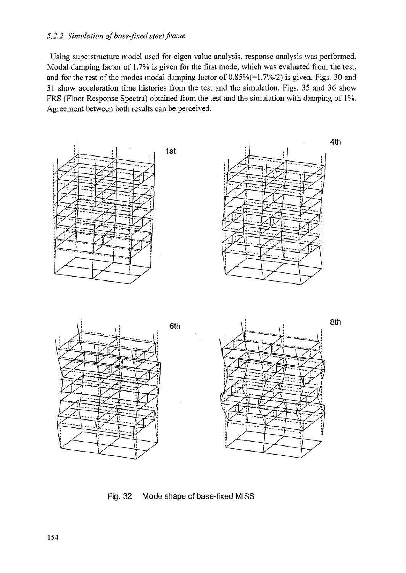### *5.2.2. Simulation of base-fixed steel frame*

Using superstructure model used for eigen value analysis, response analysis was performed. Modal damping factor of 1.7% is given for the first mode, which was evaluated from the test, and for the rest of the modes modal damping factor of 0.85%(=1.7%/2) is given. Figs. 30 and 31 show acceleration time histories from the test and the simulation. Figs. 35 and 36 show FRS (Floor Response Spectra) obtained from the test and the simulation with damping of 1%. Agreement between both results can be perceived.



Fig. 32 Mode shape of base-fixed MISS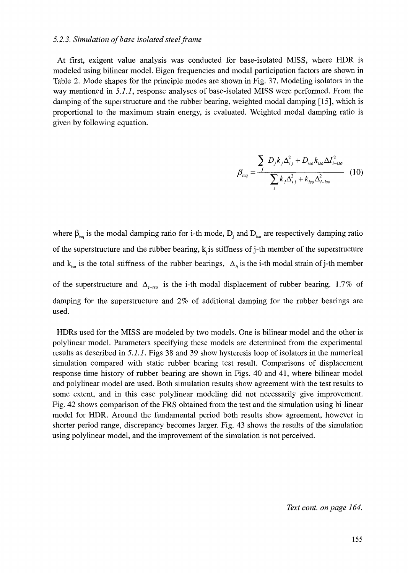#### *5.2.3. Simulation of base isolated steel frame*

At first, exigent value analysis was conducted for base-isolated MISS, where HDR is modeled using bilinear model. Eigen frequencies and modal participation factors are shown in Table 2. Mode shapes for the principle modes are shown in Fig. 37. Modeling isolators in the way mentioned in *5.1.1,* response analyses of base-isolated MISS were performed. From the damping of the superstructure and the rubber bearing, weighted modal damping [15], which is proportional to the maximum strain energy, is evaluated. Weighted modal damping ratio is given by following equation.

$$
\beta_{ieq} = \frac{\sum_{j} D_{j} k_{j} \Delta_{ij}^{2} + D_{iso} k_{iso} \Delta I_{i-iso}^{2}}{\sum_{j} k_{j} \Delta_{ij}^{2} + k_{iso} \Delta_{i-iso}^{2}}
$$
 (10)

where  $\beta_{\text{eq}}$  is the modal damping ratio for i-th mode,  $D_i$  and  $D_{\text{iso}}$  are respectively damping ratio of the superstructure and the rubber bearing,  $k<sub>i</sub>$  is stiffness of j-th member of the superstructure and  $k_{iso}$  is the total stiffness of the rubber bearings,  $\Delta_{ij}$  is the i-th modal strain of j-th member of the superstructure and  $\Delta_{i-iso}$  is the i-th modal displacement of rubber bearing. 1.7% of damping for the superstructure and 2% of additional damping for the rubber bearings are used.

HDRs used for the MISS are modeled by two models. One is bilinear model and the other is polylinear model. Parameters specifying these models are determined from the experimental results as described in *5.1.1.* Figs 38 and 39 show hysteresis loop of isolators in the numerical simulation compared with static rubber bearing test result. Comparisons of displacement response time history of rubber bearing are shown in Figs. 40 and 41, where bilinear model and polylinear model are used. Both simulation results show agreement with the test results to some extent, and in this case polylinear modeling did not necessarily give improvement. Fig. 42 shows comparison of the FRS obtained from the test and the simulation using bi-linear model for HDR. Around the fundamental period both results show agreement, however in shorter period range, discrepancy becomes larger. Fig. 43 shows the results of the simulation using polylinear model, and the improvement of the simulation is not perceived.

*Text cont. on page 164.*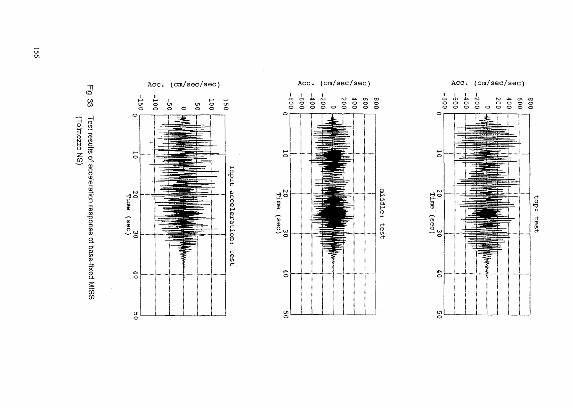

 $\Delta$ 





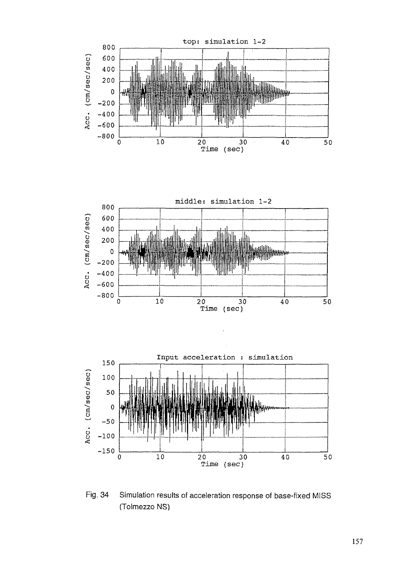

Fig. 34 Simulation results of acceleration response of base-fixed MISS (Toimezzo NS)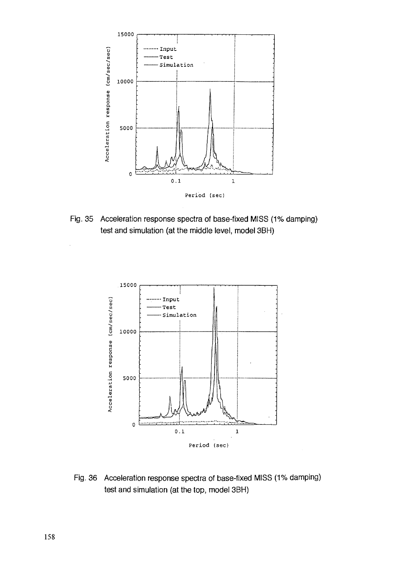

Fig. 35 Acceleration response spectra of base-fixed MISS (1% damping) test and simulation (at the middle level, model 3BH)



Fig. 36 Acceleration response spectra of base-fixed MISS (1% damping) test and simulation (at the top, model 3BH)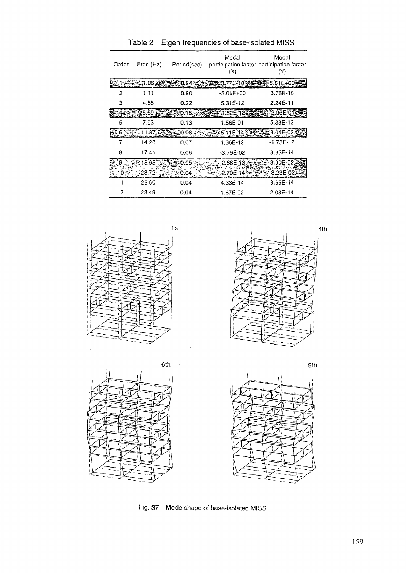| Order | Freq.(Hz)       | Period(sec) | Modal<br>participation factor participation factor<br>(X) | Modal<br>(Y)  |
|-------|-----------------|-------------|-----------------------------------------------------------|---------------|
|       | ≲1.06 ≆ັ        | 1.94        | 3.77E-10÷                                                 | :5.01E+00     |
| 2     | 1.11            | 0.90        | $-5.01E+00$                                               | $3.76E - 10$  |
| 3     | 4.55            | 0.22        | 5.31E-12                                                  | 2.24E-11      |
|       | 5.69.           | -0.18.      | 53-1:52E-12.                                              | 2.96E-01      |
| 5     | 7.93            | 0.13        | 1.56E-01                                                  | $5.33E-13$    |
|       | 6 ಕನ್ನಡಿಸಿ11.87 | -0.08       | 23.5.11E-14                                               | ≩8.04E-02.    |
| 7     | 14.28           | 0.07        | 1.36E-12                                                  | $-1.73E-12$   |
| 8     | 17.41           | 0.06        | $-3.79E - 02$                                             | 8.35E-14      |
|       | . - 18.63       | 0.05        | $-2.68E - 13.5$                                           | 3.90E-02      |
|       | -23.72          | 0.04        | -2.70E-14                                                 | $-3.23E - 02$ |
| 11    | 25.60           | 0.04        | 4.33E-14                                                  | 8.65E-14      |
| 12    | 28.49           | 0.04        | 1.67E-02                                                  | 2.08E-14      |

Table 2 Eigen frequencies of base-isolated MISS







Fig. 37 Mode shape of base-isolated MISS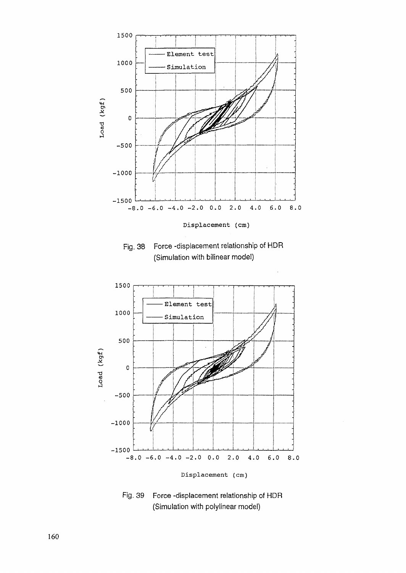

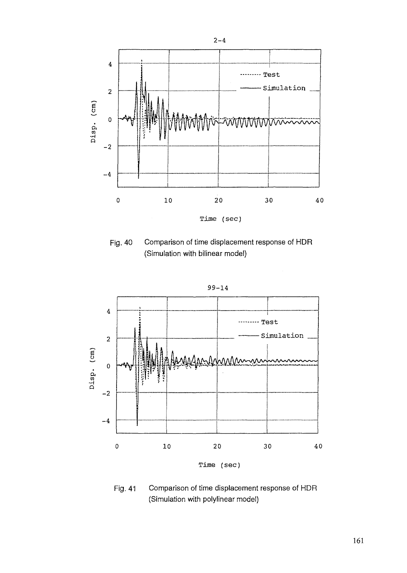

Fig. 40 Comparison of time displacement response of HDR (Simulation with bilinear model)



Fig. 41 Comparison of time displacement response of HDR (Simulation with polylinear model)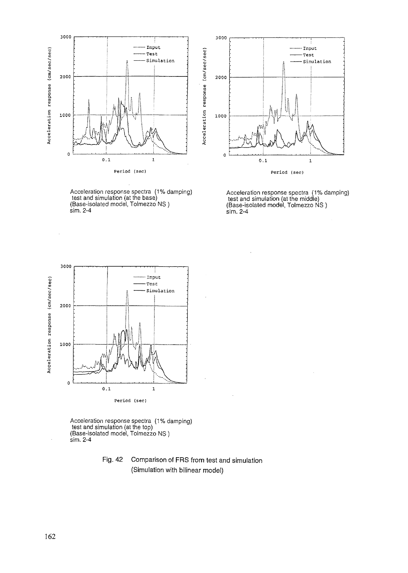





Acceleration response spectra (1% damping) test and simulation (at the middle) (Base-isolated model, Tolmezzo NS ) sim. 2-4



Acceleration response spectra (1% damping) test and simulation (at the top) (Base-isolated model, Tolmezzo NS ) sim. 2-4

### Fig. 42 Comparison of FRS from test and simulation (Simulation with bilinear model)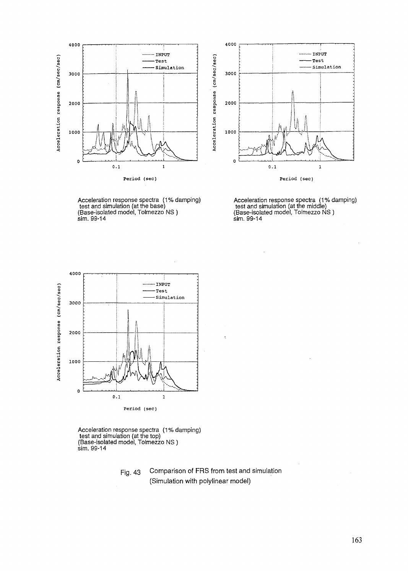



Acceleration response spectra (1% damping) test and simulation (at the base) (Base-isolated model, Tolmezzo NS) sim. 99-14

Acceleration response spectra (1% damping) test and simulation (at the middle) (Base-isolated model, Tolmezzo NS ) sim. 99-14



Acceleration response spectra (1% damping) test and simulation (at the top) (Base-isolated model, Tolmezzo NS ) sim. 99-14

> Fig. 43 Comparison of FRS from test and simulation (Simulation with polylinear model)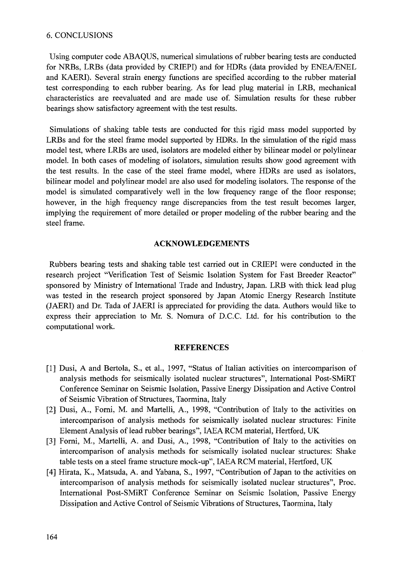### 6. CONCLUSIONS

Using computer code ABAQUS, numerical simulations of rubber bearing tests are conducted for NRBs, LRBs (data provided by CRIEPI) and for HDRs (data provided by ENEA/ENEL and KAERI). Several strain energy functions are specified according to the rubber material test corresponding to each rubber bearing. As for lead plug material in LRB, mechanical characteristics are reevaluated and are made use of. Simulation results for these rubber bearings show satisfactory agreement with the test results.

Simulations of shaking table tests are conducted for this rigid mass model supported by LRBs and for the steel frame model supported by HDRs. In the simulation of the rigid mass model test, where LRBs are used, isolators are modeled either by bilinear model or polylinear model. In both cases of modeling of isolators, simulation results show good agreement with the test results, hi the case of the steel frame model, where HDRs are used as isolators, bilinear model and polylinear model are also used for modeling isolators. The response of the model is simulated comparatively well in the low frequency range of the floor response; however, in the high frequency range discrepancies from the test result becomes larger, implying the requirement of more detailed or proper modeling of the rubber bearing and the steel frame.

#### **ACKNOWLEDGEMENTS**

Rubbers bearing tests and shaking table test carried out in CRIEPI were conducted in the research project "Verification Test of Seismic Isolation System for Fast Breeder Reactor" sponsored by Ministry of International Trade and Industry, Japan. LRB with thick lead plug was tested in the research project sponsored by Japan Atomic Energy Research Institute (JAERI) and Dr. Tada of JAERI is appreciated for providing the data. Authors would like to express their appreciation to Mr. S. Nomura of D.C.C. Ltd. for his contribution to the computational work.

#### **REFERENCES**

- [1] Dusi, A and Bertola, S., et al., 1997, "Status of Italian activities on intercomparison of analysis methods for seismically isolated nuclear structures", International Post-SMiRT Conference Seminar on Seismic Isolation, Passive Energy Dissipation and Active Control of Seismic Vibration of Structures, Taormina, Italy
- [2] Dusi, A., Forni, M. and Martelli, A., 1998, "Contribution of Italy to the activities on intercomparison of analysis methods for seismically isolated nuclear structures: Finite Element Analysis of lead rubber bearings", IAEA RCM material, Hertford, UK
- [3] Forni, M., Martelli, A. and Dusi, A., 1998, "Contribution of Italy to the activities on intercomparison of analysis methods for seismically isolated nuclear structures: Shake table tests on a steel frame structure mock-up", IAEA RCM material, Hertford, UK
- [4] Hirata, K., Matsuda, A. and Yabana, S., 1997, "Contribution of Japan to the activities on intercomparison of analysis methods for seismically isolated nuclear structures", Proc. International Post-SMiRT Conference Seminar on Seismic Isolation, Passive Energy Dissipation and Active Control of Seismic Vibrations of Structures, Taormina, Italy